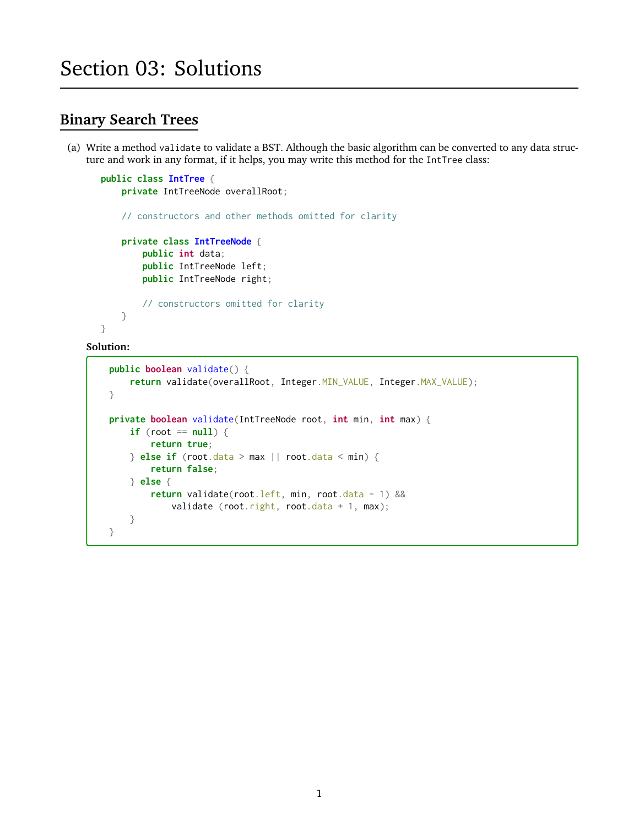# **Binary Search Trees**

(a) Write a method validate to validate a BST. Although the basic algorithm can be converted to any data structure and work in any format, if it helps, you may write this method for the IntTree class:

```
public class IntTree {
    private IntTreeNode overallRoot;
    // constructors and other methods omitted for clarity
    private class IntTreeNode {
        public int data;
        public IntTreeNode left;
        public IntTreeNode right;
        // constructors omitted for clarity
    }
}
```

```
public boolean validate() {
    return validate(overallRoot, Integer.MIN_VALUE, Integer.MAX_VALUE);
}
private boolean validate(IntTreeNode root, int min, int max) {
    if (root == null) {
        return true;
    } else if (root.data > max || root.data < min) {
        return false;
    } else {
        return validate(root.left, min, root.data - 1) &&
            validate (root.right, root.data + 1, max);
   }
}
```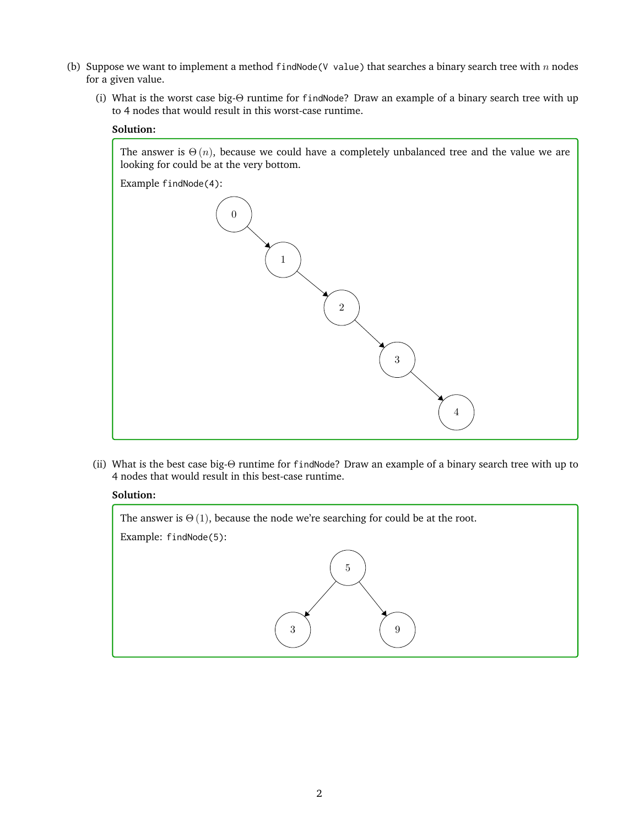- (b) Suppose we want to implement a method findNode(V value) that searches a binary search tree with  $n$  nodes for a given value.
	- (i) What is the worst case big-Θ runtime for findNode? Draw an example of a binary search tree with up to 4 nodes that would result in this worst-case runtime.

### **Solution:**

The answer is  $\Theta(n)$ , because we could have a completely unbalanced tree and the value we are looking for could be at the very bottom.



(ii) What is the best case big-Θ runtime for findNode? Draw an example of a binary search tree with up to 4 nodes that would result in this best-case runtime.

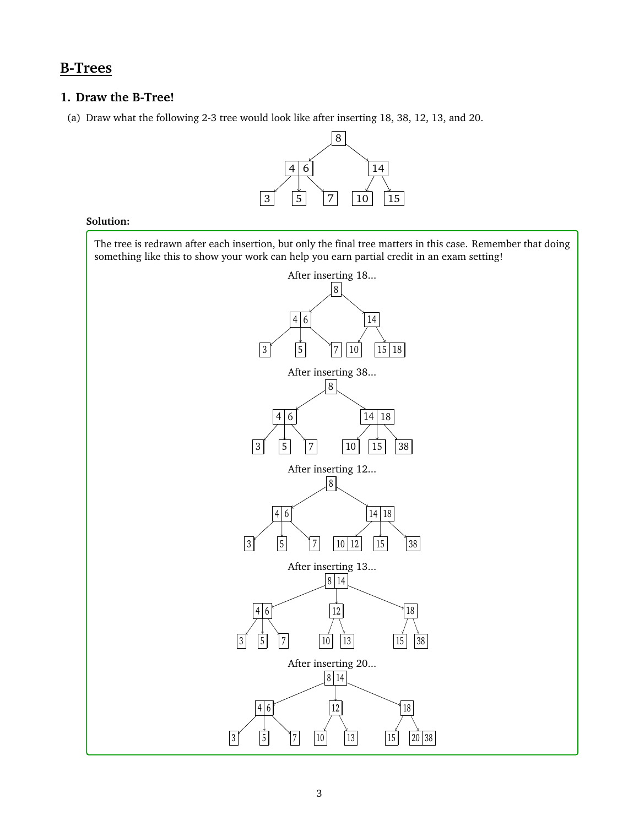# **B-Trees**

## **1. Draw the B-Tree!**

(a) Draw what the following 2-3 tree would look like after inserting 18, 38, 12, 13, and 20.



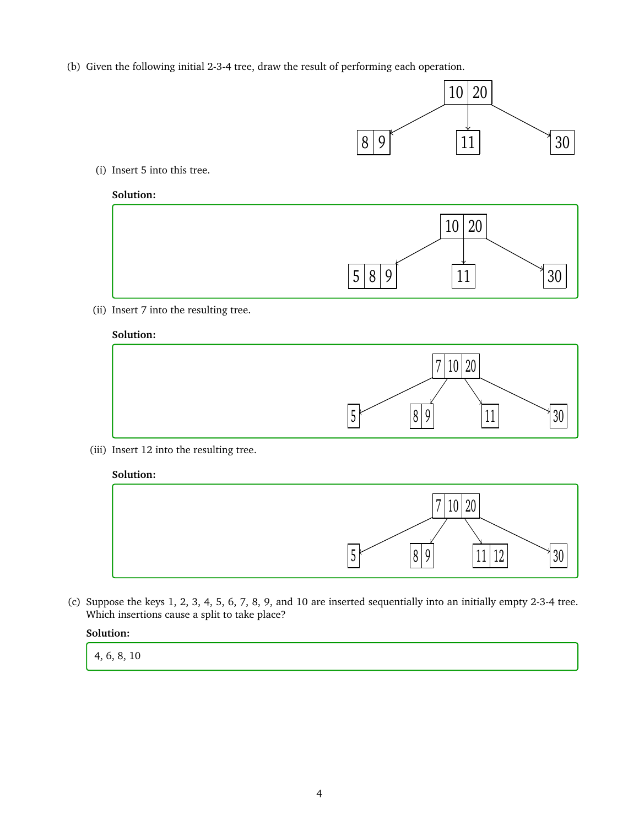(b) Given the following initial 2-3-4 tree, draw the result of performing each operation.



(i) Insert 5 into this tree.

## **Solution:**



(ii) Insert 7 into the resulting tree.

## **Solution:**



(iii) Insert 12 into the resulting tree.

### **Solution:**



(c) Suppose the keys 1, 2, 3, 4, 5, 6, 7, 8, 9, and 10 are inserted sequentially into an initially empty 2-3-4 tree. Which insertions cause a split to take place?

#### **Solution:**

4, 6, 8, 10